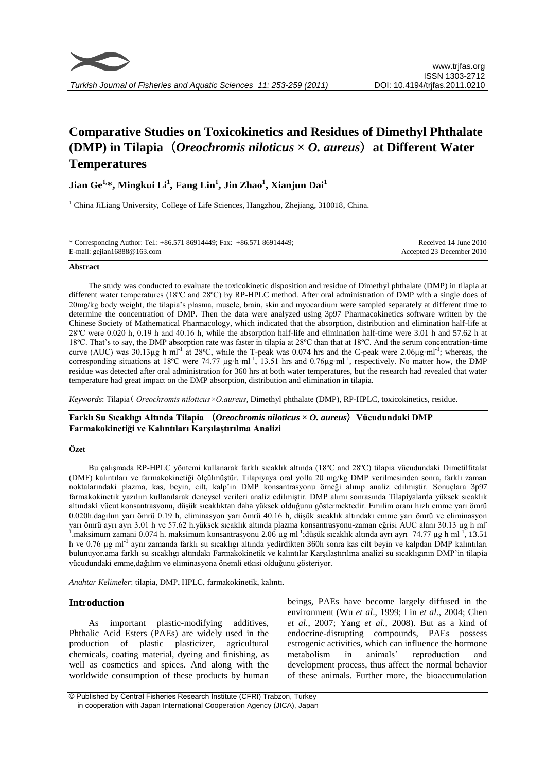

# **Comparative Studies on Toxicokinetics and Residues of Dimethyl Phthalate (DMP) in Tilapia**(*Oreochromis niloticus* **×** *O. aureus*)**at Different Water Temperatures**

# **Jian Ge1,\*, Mingkui Li<sup>1</sup> , Fang Lin<sup>1</sup> , Jin Zhao<sup>1</sup> , Xianjun Dai<sup>1</sup>**

<sup>1</sup> China JiLiang University, College of Life Sciences, Hangzhou, Zhejiang, 310018, China.

| * Corresponding Author: Tel.: +86.571 86914449; Fax: +86.571 86914449; | Received 14 June 2010     |
|------------------------------------------------------------------------|---------------------------|
| E-mail: gejian $16888@163$ .com                                        | Accepted 23 December 2010 |

#### **Abstract**

The study was conducted to evaluate the toxicokinetic disposition and residue of Dimethyl phthalate (DMP) in tilapia at different water temperatures (18ºC and 28ºC) by RP-HPLC method. After oral administration of DMP with a single does of 20mg/kg body weight, the tilapia's plasma, muscle, brain, skin and myocardium were sampled separately at different time to determine the concentration of DMP. Then the data were analyzed using 3p97 Pharmacokinetics software written by the Chinese Society of Mathematical Pharmacology, which indicated that the absorption, distribution and elimination half-life at 28ºC were 0.020 h, 0.19 h and 40.16 h, while the absorption half-life and elimination half-time were 3.01 h and 57.62 h at 18ºC. That's to say, the DMP absorption rate was faster in tilapia at 28ºC than that at 18ºC. And the serum concentration-time curve (AUC) was  $30.13\mu$ g h ml<sup>-1</sup> at 28°C, while the T-peak was 0.074 hrs and the C-peak were 2.06 $\mu$ g·ml<sup>-1</sup>; whereas, the corresponding situations at 18°C were 74.77  $\mu$ g·h·ml<sup>-1</sup>, 13.51 hrs and 0.76 $\mu$ g·ml<sup>-1</sup>, respectively. No matter how, the DMP residue was detected after oral administration for 360 hrs at both water temperatures, but the research had revealed that water temperature had great impact on the DMP absorption, distribution and elimination in tilapia.

*Keywords*: Tilapia( *Oreochromis niloticus×O.aureus,* Dimethyl phthalate (DMP), RP-HPLC, toxicokinetics, residue.

**Farklı Su Sıcaklıgı Altında Tilapia** (*Oreochromis niloticus* **×** *O. aureus*)**Vücudundaki DMP Farmakokinetiği ve Kalıntıları Karşılaştırılma Analizi**

#### **Özet**

Bu çalışmada RP-HPLC yöntemi kullanarak farklı sıcaklık altında (18ºC and 28ºC) tilapia vücudundaki Dimetilfitalat (DMF) kalıntıları ve farmakokinetiği ölçülmüştür. Tilapiyaya oral yolla 20 mg/kg DMP verilmesinden sonra, farklı zaman noktalarındaki plazma, kas, beyin, cilt, kalp'in DMP konsantrasyonu örneği alınıp analiz edilmiştir. Sonuçlara 3p97 farmakokinetik yazılım kullanılarak deneysel verileri analiz edilmiştir. DMP alımı sonrasında Tilapiyalarda yüksek sıcaklık altındaki vücut konsantrasyonu, düşük sıcaklıktan daha yüksek olduğunu göstermektedir. Emilim oranı hızlı emme yarı ömrü 0.020h.dagılım yarı ömrü 0.19 h, eliminasyon yarı ömrü 40.16 h, düşük sıcaklık altındakı emme yarı ömrü ve eliminasyon yarı ömrü ayrı ayrı 3.01 h ve 57.62 h.yüksek sıcaklık altında plazma konsantrasyonu-zaman eğrisi AUC alanı 30.13 µg h ml-1 maksimum zamani 0.074 h. maksimum konsantrasyonu 2.06 µg ml<sup>-1</sup>;düşük sıcaklık altında ayrı ayrı 74.77 µg h ml<sup>-1</sup>. , 13.51 h ve 0.76 µg ml<sup>-1</sup> aynı zamanda farklı su sıcaklıgı altında yedirdikten 360h sonra kas cilt beyin ve kalpdan DMP kalıntıları bulunuyor.ama farklı su sıcaklıgı altındakı Farmakokinetik ve kalıntılar Karşılaştırılma analizi su sıcaklıgının DMP'in tilapia vücudundaki emme,dağılım ve eliminasyona önemli etkisi olduğunu gösteriyor.

*Anahtar Kelimeler*: tilapia, DMP, HPLC, farmakokinetik, kalıntı.

# **Introduction**

As important plastic-modifying additives, Phthalic Acid Esters (PAEs) are widely used in the production of plastic plasticizer, agricultural production of plastic plasticizer, agricultural chemicals, coating material, dyeing and finishing, as well as cosmetics and spices. And along with the worldwide consumption of these products by human

beings, PAEs have become largely diffused in the environment (Wu *et al*., 1999; Lin *et al.*, 2004; Chen *et al.*, 2007; Yang *et al.*, 2008). But as a kind of endocrine-disrupting compounds, PAEs possess estrogenic activities, which can influence the hormone metabolism in animals' reproduction and development process, thus affect the normal behavior of these animals. Further more, the bioaccumulation

<sup>©</sup> Published by Central Fisheries Research Institute (CFRI) Trabzon, Turkey in cooperation with Japan International Cooperation Agency (JICA), Japan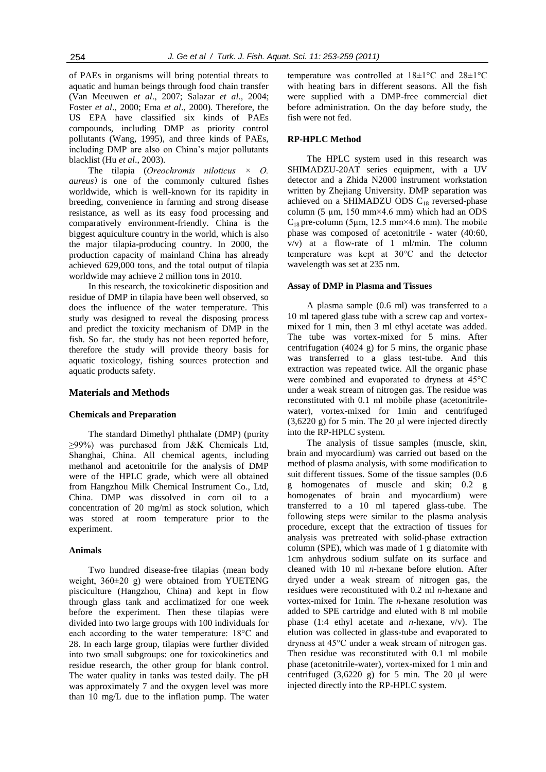of PAEs in organisms will bring potential threats to aquatic and human beings through food chain transfer (Van Meeuwen *et al*., 2007; Salazar *et al.,* 2004; Foster *et al*., 2000; Ema *et al*., 2000). Therefore, the US EPA have classified six kinds of PAEs compounds, including DMP as priority control pollutants (Wang, 1995), and three kinds of PAEs, including DMP are also on China's major pollutants blacklist (Hu *et al*., 2003).

The tilapia (*Oreochromis niloticus × O. aureus*) is one of the commonly cultured fishes worldwide, which is well-known for its rapidity in breeding, convenience in farming and strong disease resistance, as well as its easy food processing and comparatively environment-friendly. China is the biggest aquiculture country in the world, which is also the major tilapia-producing country. In 2000, the production capacity of mainland China has already achieved 629,000 tons, and the total output of tilapia worldwide may achieve 2 million tons in 2010.

In this research, the toxicokinetic disposition and residue of DMP in tilapia have been well observed, so does the influence of the water temperature. This study was designed to reveal the disposing process and predict the toxicity mechanism of DMP in the fish. So far, the study has not been reported before, therefore the study will provide theory basis for aquatic toxicology, fishing sources protection and aquatic products safety.

# **Materials and Methods**

#### **Chemicals and Preparation**

The standard Dimethyl phthalate (DMP) (purity ≥99%) was purchased from J&K Chemicals Ltd, Shanghai, China. All chemical agents, including methanol and acetonitrile for the analysis of DMP were of the HPLC grade, which were all obtained from Hangzhou Milk Chemical Instrument Co., Ltd, China. DMP was dissolved in corn oil to a concentration of 20 mg/ml as stock solution, which was stored at room temperature prior to the experiment.

#### **Animals**

Two hundred disease-free tilapias (mean body weight, 360±20 g) were obtained from YUETENG pisciculture (Hangzhou, China) and kept in flow through glass tank and acclimatized for one week before the experiment. Then these tilapias were divided into two large groups with 100 individuals for each according to the water temperature: 18°C and 28. In each large group, tilapias were further divided into two small subgroups: one for toxicokinetics and residue research, the other group for blank control. The water quality in tanks was tested daily. The pH was approximately 7 and the oxygen level was more than 10 mg/L due to the inflation pump. The water temperature was controlled at 18±1°C and 28±1°C with heating bars in different seasons. All the fish were supplied with a DMP-free commercial diet before administration. On the day before study, the fish were not fed.

#### **RP-HPLC Method**

The HPLC system used in this research was SHIMADZU-20AT series equipment, with a UV detector and a Zhida N2000 instrument workstation written by Zhejiang University. DMP separation was achieved on a SHIMADZU ODS  $C_{18}$  reversed-phase column (5  $\mu$ m, 150 mm×4.6 mm) which had an ODS  $C_{18}$  pre-column (5µm, 12.5 mm×4.6 mm). The mobile phase was composed of acetonitrile - water (40:60, v/v) at a flow-rate of 1 ml/min. The column temperature was kept at 30°C and the detector wavelength was set at 235 nm.

#### **Assay of DMP in Plasma and Tissues**

A plasma sample (0.6 ml) was transferred to a 10 ml tapered glass tube with a screw cap and vortexmixed for 1 min, then 3 ml ethyl acetate was added. The tube was vortex-mixed for 5 mins. After centrifugation (4024 g) for 5 mins, the organic phase was transferred to a glass test-tube. And this extraction was repeated twice. All the organic phase were combined and evaporated to dryness at 45°C under a weak stream of nitrogen gas. The residue was reconstituted with 0.1 ml mobile phase (acetonitrilewater), vortex-mixed for 1min and centrifuged (3,6220 g) for 5 min. The 20 μl were injected directly into the RP-HPLC system.

The analysis of tissue samples (muscle, skin, brain and myocardium) was carried out based on the method of plasma analysis, with some modification to suit different tissues. Some of the tissue samples (0.6 g homogenates of muscle and skin; 0.2 g homogenates of brain and myocardium) were transferred to a 10 ml tapered glass-tube. The following steps were similar to the plasma analysis procedure, except that the extraction of tissues for analysis was pretreated with solid-phase extraction column (SPE), which was made of 1 g diatomite with 1cm anhydrous sodium sulfate on its surface and cleaned with 10 ml *n*-hexane before elution. After dryed under a weak stream of nitrogen gas, the residues were reconstituted with 0.2 ml *n*-hexane and vortex-mixed for 1min. The *n*-hexane resolution was added to SPE cartridge and eluted with 8 ml mobile phase (1:4 ethyl acetate and *n*-hexane, v/v). The elution was collected in glass-tube and evaporated to dryness at 45°C under a weak stream of nitrogen gas. Then residue was reconstituted with 0.1 ml mobile phase (acetonitrile-water), vortex-mixed for 1 min and centrifuged  $(3,6220 \text{ g})$  for 5 min. The 20 μl were injected directly into the RP-HPLC system.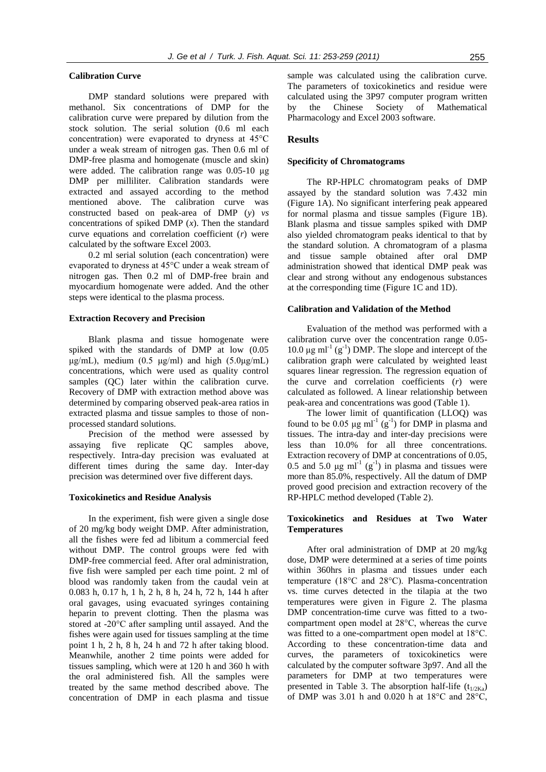### **Calibration Curve**

DMP standard solutions were prepared with methanol. Six concentrations of DMP for the calibration curve were prepared by dilution from the stock solution. The serial solution (0.6 ml each concentration) were evaporated to dryness at 45°C under a weak stream of nitrogen gas. Then 0.6 ml of DMP-free plasma and homogenate (muscle and skin) were added. The calibration range was 0.05-10 μg DMP per milliliter. Calibration standards were extracted and assayed according to the method mentioned above. The calibration curve was constructed based on peak-area of DMP (*y*) *vs* concentrations of spiked DMP  $(x)$ . Then the standard curve equations and correlation coefficient (*r*) were calculated by the software Excel 2003.

0.2 ml serial solution (each concentration) were evaporated to dryness at 45°C under a weak stream of nitrogen gas. Then 0.2 ml of DMP-free brain and myocardium homogenate were added. And the other steps were identical to the plasma process.

### **Extraction Recovery and Precision**

Blank plasma and tissue homogenate were spiked with the standards of DMP at low (0.05 μg/mL), medium (0.5 μg/ml) and high  $(5.0\mu g/mL)$ concentrations, which were used as quality control samples (QC) later within the calibration curve. Recovery of DMP with extraction method above was determined by comparing observed peak-area ratios in extracted plasma and tissue samples to those of nonprocessed standard solutions.

Precision of the method were assessed by assaying five replicate QC samples above, respectively. Intra-day precision was evaluated at different times during the same day. Inter-day precision was determined over five different days.

#### **Toxicokinetics and Residue Analysis**

In the experiment, fish were given a single dose of 20 mg/kg body weight DMP. After administration, all the fishes were fed ad libitum a commercial feed without DMP. The control groups were fed with DMP-free commercial feed. After oral administration, five fish were sampled per each time point. 2 ml of blood was randomly taken from the caudal vein at 0.083 h, 0.17 h, 1 h, 2 h, 8 h, 24 h, 72 h, 144 h after oral gavages, using evacuated syringes containing heparin to prevent clotting. Then the plasma was stored at -20°C after sampling until assayed. And the fishes were again used for tissues sampling at the time point 1 h, 2 h, 8 h, 24 h and 72 h after taking blood. Meanwhile, another 2 time points were added for tissues sampling, which were at 120 h and 360 h with the oral administered fish. All the samples were treated by the same method described above. The concentration of DMP in each plasma and tissue

sample was calculated using the calibration curve. The parameters of toxicokinetics and residue were calculated using the 3P97 computer program written by the Chinese Society of Mathematical Pharmacology and Excel 2003 software.

## **Results**

#### **Specificity of Chromatograms**

The RP-HPLC chromatogram peaks of DMP assayed by the standard solution was 7.432 min (Figure 1A). No significant interfering peak appeared for normal plasma and tissue samples (Figure 1B). Blank plasma and tissue samples spiked with DMP also yielded chromatogram peaks identical to that by the standard solution. A chromatogram of a plasma and tissue sample obtained after oral DMP administration showed that identical DMP peak was clear and strong without any endogenous substances at the corresponding time (Figure 1C and 1D).

# **Calibration and Validation of the Method**

Evaluation of the method was performed with a calibration curve over the concentration range 0.05-  $10.0 \mu g$  ml<sup>-1</sup> (g<sup>-1</sup>) DMP. The slope and intercept of the calibration graph were calculated by weighted least squares linear regression. The regression equation of the curve and correlation coefficients (*r*) were calculated as followed. A linear relationship between peak-area and concentrations was good (Table 1).

The lower limit of quantification (LLOQ) was found to be 0.05  $\mu$ g ml<sup>-1</sup> (g<sup>-1</sup>) for DMP in plasma and tissues. The intra-day and inter-day precisions were less than 10.0% for all three concentrations. Extraction recovery of DMP at concentrations of 0.05, 0.5 and 5.0  $\mu$ g ml<sup>-1</sup> (g<sup>-1</sup>) in plasma and tissues were more than 85.0%, respectively. All the datum of DMP proved good precision and extraction recovery of the RP-HPLC method developed (Table 2).

# **Toxicokinetics and Residues at Two Water Temperatures**

After oral administration of DMP at 20 mg/kg dose, DMP were determined at a series of time points within 360hrs in plasma and tissues under each temperature (18°C and 28°C). Plasma-concentration vs. time curves detected in the tilapia at the two temperatures were given in Figure 2. The plasma DMP concentration-time curve was fitted to a twocompartment open model at 28°C, whereas the curve was fitted to a one-compartment open model at 18°C. According to these concentration-time data and curves, the parameters of toxicokinetics were calculated by the computer software 3p97. And all the parameters for DMP at two temperatures were presented in Table 3. The absorption half-life  $(t_{1/2Ka})$ of DMP was 3.01 h and 0.020 h at 18°C and 28°C,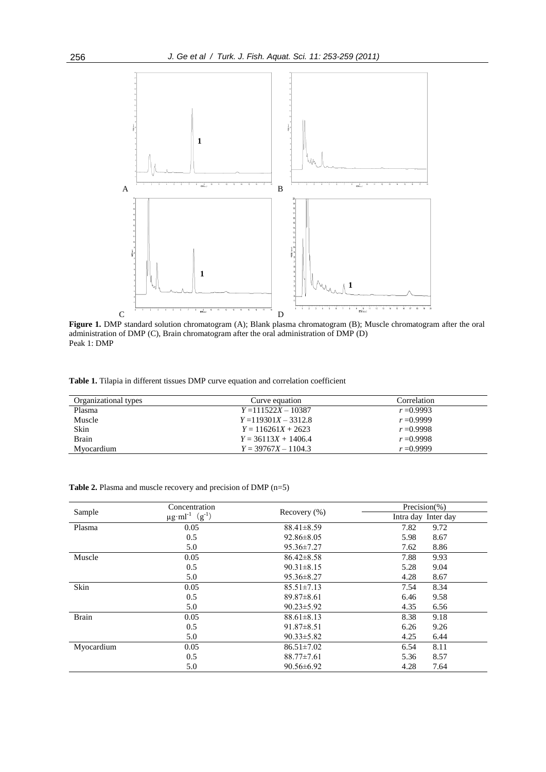

Figure 1. DMP standard solution chromatogram (A); Blank plasma chromatogram (B); Muscle chromatogram after the oral administration of DMP (C), Brain chromatogram after the oral administration of DMP (D) Peak 1: DMP

**Table 1.** Tilapia in different tissues DMP curve equation and correlation coefficient

| Organizational types | Curve equation         | Correlation  |
|----------------------|------------------------|--------------|
| Plasma               | $Y = 111522X - 10387$  | $r = 0.9993$ |
| Muscle               | $Y = 119301X - 3312.8$ | $r = 0.9999$ |
| Skin                 | $Y = 116261X + 2623$   | $r = 0.9998$ |
| <b>Brain</b>         | $Y = 36113X + 1406.4$  | $r = 0.9998$ |
| Mvocardium           | $Y = 39767X - 1104.3$  | $r = 0.9999$ |

**Table 2.** Plasma and muscle recovery and precision of DMP (n=5)

| Sample       | Concentration                    |                  | Precision(%)        |
|--------------|----------------------------------|------------------|---------------------|
|              | $\mu g \cdot ml^{-1}$ $(g^{-1})$ | Recovery $(\% )$ | Intra day Inter day |
| Plasma       | 0.05                             | $88.41 \pm 8.59$ | 7.82<br>9.72        |
|              | 0.5                              | $92.86 \pm 8.05$ | 8.67<br>5.98        |
|              | 5.0                              | $95.36 \pm 7.27$ | 8.86<br>7.62        |
| Muscle       | 0.05                             | $86.42 \pm 8.58$ | 7.88<br>9.93        |
|              | 0.5                              | $90.31 \pm 8.15$ | 9.04<br>5.28        |
|              | 5.0                              | $95.36 \pm 8.27$ | 8.67<br>4.28        |
| Skin         | 0.05                             | $85.51 \pm 7.13$ | 8.34<br>7.54        |
|              | 0.5                              | $89.87 \pm 8.61$ | 9.58<br>6.46        |
|              | 5.0                              | $90.23 \pm 5.92$ | 6.56<br>4.35        |
| <b>Brain</b> | 0.05                             | $88.61 \pm 8.13$ | 8.38<br>9.18        |
|              | 0.5                              | $91.87 \pm 8.51$ | 9.26<br>6.26        |
|              | 5.0                              | $90.33 \pm 5.82$ | 6.44<br>4.25        |
| Myocardium   | 0.05                             | $86.51 \pm 7.02$ | 6.54<br>8.11        |
|              | 0.5                              | $88.77 \pm 7.61$ | 8.57<br>5.36        |
|              | 5.0                              | $90.56 \pm 6.92$ | 7.64<br>4.28        |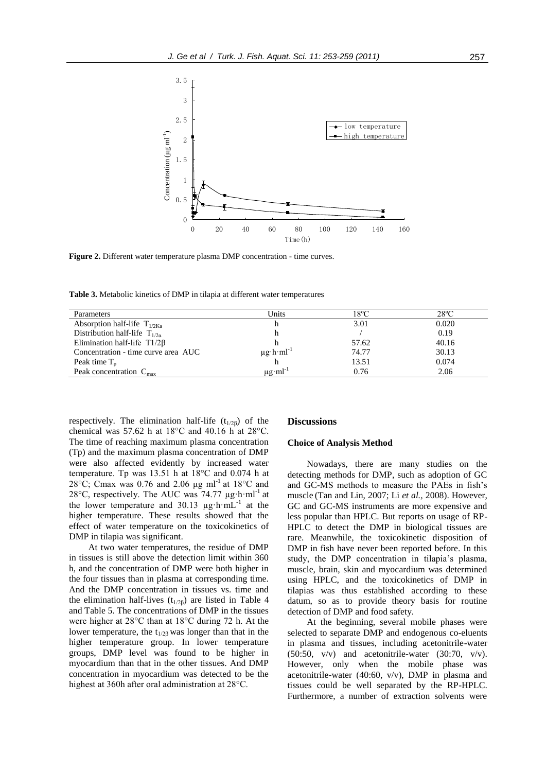

**Figure 2.** Different water temperature plasma DMP concentration - time curves.

**Table 3.** Metabolic kinetics of DMP in tilapia at different water temperatures

| Parameters                          | Units                         | $18^{\circ}$ C | $28^{\circ}$ C |
|-------------------------------------|-------------------------------|----------------|----------------|
| Absorption half-life $T_{1/2K_2}$   |                               | 3.01           | 0.020          |
| Distribution half-life $T_{1/2a}$   |                               |                | 0.19           |
| Elimination half-life $T1/2\beta$   |                               | 57.62          | 40.16          |
| Concentration - time curve area AUC | $\mu g \cdot h \cdot ml^{-1}$ | 74.77          | 30.13          |
| Peak time $T_{n}$                   |                               | 13.51          | 0.074          |
| Peak concentration $C_{\text{max}}$ | $\mu$ g·ml <sup>-1</sup>      | 0.76           | 2.06           |

respectively. The elimination half-life  $(t_{1/26})$  of the chemical was 57.62 h at  $18^{\circ}$ C and 40.16 h at  $28^{\circ}$ C. The time of reaching maximum plasma concentration (Tp) and the maximum plasma concentration of DMP were also affected evidently by increased water temperature. Tp was 13.51 h at 18°C and 0.074 h at 28°C; Cmax was 0.76 and 2.06 μg ml<sup>-1</sup> at 18°C and 28 $\rm ^{\circ}C$ , respectively. The AUC was 74.77  $\mu$ g·h·ml<sup>-1</sup> at the lower temperature and  $30.13 \mu g \cdot h \cdot mL^{-1}$  at the higher temperature. These results showed that the effect of water temperature on the toxicokinetics of DMP in tilapia was significant.

At two water temperatures, the residue of DMP in tissues is still above the detection limit within 360 h, and the concentration of DMP were both higher in the four tissues than in plasma at corresponding time. And the DMP concentration in tissues vs. time and the elimination half-lives  $(t_{1/2\beta})$  are listed in Table 4 and Table 5. The concentrations of DMP in the tissues were higher at 28°C than at 18°C during 72 h. At the lower temperature, the  $t_{1/2\beta}$  was longer than that in the higher temperature group. In lower temperature groups, DMP level was found to be higher in myocardium than that in the other tissues. And DMP concentration in myocardium was detected to be the highest at 360h after oral administration at 28°C.

#### **Discussions**

#### **Choice of Analysis Method**

Nowadays, there are many studies on the detecting methods for DMP, such as adoption of GC and GC-MS methods to measure the PAEs in fish's muscle (Tan and Lin, 2007; Li *et al.,* 2008). However, GC and GC-MS instruments are more expensive and less popular than HPLC. But reports on usage of RP-HPLC to detect the DMP in biological tissues are rare. Meanwhile, the toxicokinetic disposition of DMP in fish have never been reported before. In this study, the DMP concentration in tilapia's plasma, muscle, brain, skin and myocardium was determined using HPLC, and the toxicokinetics of DMP in tilapias was thus established according to these datum, so as to provide theory basis for routine detection of DMP and food safety.

At the beginning, several mobile phases were selected to separate DMP and endogenous co-eluents in plasma and tissues, including acetonitrile-water  $(50:50, v/v)$  and acetonitrile-water  $(30:70, v/v)$ . However, only when the mobile phase was acetonitrile-water (40:60, v/v), DMP in plasma and tissues could be well separated by the RP-HPLC. Furthermore, a number of extraction solvents were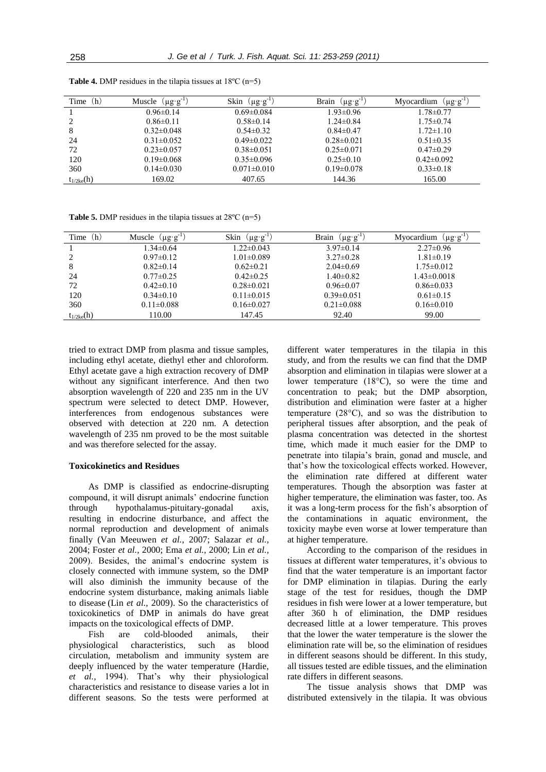| Time<br>(h)     | $(\mu g \cdot g^{-1})$<br>Muscle | $(\mu g \cdot g^{-1})$<br>Skin | $(\mu g \cdot g^{-1})$<br><b>Brain</b> | $(\mu g \cdot g^{-1})$<br>Myocardium |
|-----------------|----------------------------------|--------------------------------|----------------------------------------|--------------------------------------|
|                 | $0.96 \pm 0.14$                  | $0.69 \pm 0.084$               | $1.93 \pm 0.96$                        | $1.78 \pm 0.77$                      |
|                 | $0.86 \pm 0.11$                  | $0.58 \pm 0.14$                | $1.24 \pm 0.84$                        | $1.75 \pm 0.74$                      |
| 8               | $0.32 \pm 0.048$                 | $0.54 \pm 0.32$                | $0.84\pm0.47$                          | $1.72 \pm 1.10$                      |
| 24              | $0.31 \pm 0.052$                 | $0.49\pm0.022$                 | $0.28 \pm 0.021$                       | $0.51 \pm 0.35$                      |
| 72              | $0.23 \pm 0.057$                 | $0.38 \pm 0.051$               | $0.25 \pm 0.071$                       | $0.47\pm0.29$                        |
| 120             | $0.19 \pm 0.068$                 | $0.35 \pm 0.096$               | $0.25 \pm 0.10$                        | $0.42\pm0.092$                       |
| 360             | $0.14 \pm 0.030$                 | $0.071 \pm 0.010$              | $0.19 \pm 0.078$                       | $0.33 \pm 0.18$                      |
| $t_{1/2ke}$ (h) | 169.02                           | 407.65                         | 144.36                                 | 165.00                               |

**Table 4.** DMP residues in the tilapia tissues at 18ºC (n=5)

**Table 5.** DMP residues in the tilapia tissues at 28ºC (n=5)

| (h)<br>Time     | $(\mu g \cdot g^{-1})$<br>Muscle | $(\mu g \cdot g^{-1})$<br>Skin | $(\mu g \cdot g^{-1})$<br>Brain | $\mu$ g g $^{-1}$<br>Myocardium |
|-----------------|----------------------------------|--------------------------------|---------------------------------|---------------------------------|
|                 | $1.34 \pm 0.64$                  | $1.22 \pm 0.043$               | $3.97\pm0.14$                   | $2.27 \pm 0.96$                 |
|                 | $0.97\pm 0.12$                   | $1.01 \pm 0.089$               | $3.27 \pm 0.28$                 | $1.81 \pm 0.19$                 |
| 8               | $0.82 \pm 0.14$                  | $0.62 \pm 0.21$                | $2.04 \pm 0.69$                 | $1.75 \pm 0.012$                |
| 24              | $0.77 \pm 0.25$                  | $0.42\pm0.25$                  | $1.40 \pm 0.82$                 | $1.43 \pm 0.0018$               |
| 72              | $0.42 \pm 0.10$                  | $0.28 \pm 0.021$               | $0.96 \pm 0.07$                 | $0.86 \pm 0.033$                |
| 120             | $0.34 \pm 0.10$                  | $0.11 \pm 0.015$               | $0.39 \pm 0.051$                | $0.61 \pm 0.15$                 |
| 360             | $0.11 \pm 0.088$                 | $0.16 \pm 0.027$               | $0.21 \pm 0.088$                | $0.16 \pm 0.010$                |
| $t_{1/2ke}$ (h) | 110.00                           | 147.45                         | 92.40                           | 99.00                           |

tried to extract DMP from plasma and tissue samples, including ethyl acetate, diethyl ether and chloroform. Ethyl acetate gave a high extraction recovery of DMP without any significant interference. And then two absorption wavelength of 220 and 235 nm in the UV spectrum were selected to detect DMP. However, interferences from endogenous substances were observed with detection at 220 nm. A detection wavelength of 235 nm proved to be the most suitable and was therefore selected for the assay.

# **Toxicokinetics and Residues**

As DMP is classified as endocrine-disrupting compound, it will disrupt animals' endocrine function through hypothalamus-pituitary-gonadal axis, resulting in endocrine disturbance, and affect the normal reproduction and development of animals finally (Van Meeuwen *et al.,* 2007; Salazar *et al.,* 2004; Foster *et al.,* 2000; Ema *et al.,* 2000; Lin *et al.,* 2009). Besides, the animal's endocrine system is closely connected with immune system, so the DMP will also diminish the immunity because of the endocrine system disturbance, making animals liable to disease (Lin *et al.,* 2009). So the characteristics of toxicokinetics of DMP in animals do have great impacts on the toxicological effects of DMP.

Fish are cold-blooded animals, their physiological characteristics, such as blood circulation, metabolism and immunity system are deeply influenced by the water temperature (Hardie, *et al.,* 1994). That's why their physiological characteristics and resistance to disease varies a lot in different seasons. So the tests were performed at

different water temperatures in the tilapia in this study, and from the results we can find that the DMP absorption and elimination in tilapias were slower at a lower temperature (18°C), so were the time and concentration to peak; but the DMP absorption, distribution and elimination were faster at a higher temperature (28°C), and so was the distribution to peripheral tissues after absorption, and the peak of plasma concentration was detected in the shortest time, which made it much easier for the DMP to penetrate into tilapia's brain, gonad and muscle, and that's how the toxicological effects worked. However, the elimination rate differed at different water temperatures. Though the absorption was faster at higher temperature, the elimination was faster, too. As it was a long-term process for the fish's absorption of the contaminations in aquatic environment, the toxicity maybe even worse at lower temperature than at higher temperature.

According to the comparison of the residues in tissues at different water temperatures, it's obvious to find that the water temperature is an important factor for DMP elimination in tilapias. During the early stage of the test for residues, though the DMP residues in fish were lower at a lower temperature, but after 360 h of elimination, the DMP residues decreased little at a lower temperature. This proves that the lower the water temperature is the slower the elimination rate will be, so the elimination of residues in different seasons should be different. In this study, all tissues tested are edible tissues, and the elimination rate differs in different seasons.

The tissue analysis shows that DMP was distributed extensively in the tilapia. It was obvious